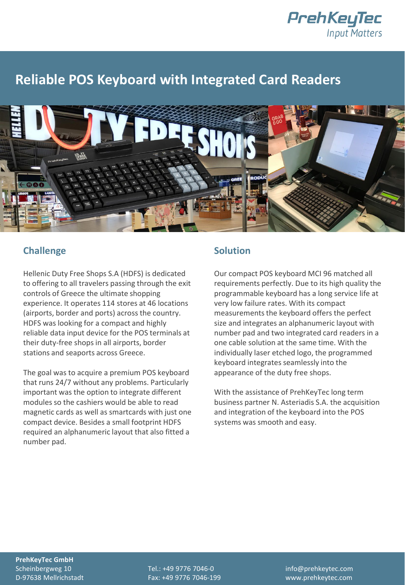

## **Reliable POS Keyboard with Integrated Card Readers**



## **Challenge**

Hellenic Duty Free Shops S.A (HDFS) is dedicated to offering to all travelers passing through the exit controls of Greece the ultimate shopping experience. It operates 114 stores at 46 locations (airports, border and ports) across the country. HDFS was looking for a compact and highly reliable data input device for the POS terminals at their duty-free shops in all airports, border stations and seaports across Greece.

The goal was to acquire a premium POS keyboard that runs 24/7 without any problems. Particularly important was the option to integrate different modules so the cashiers would be able to read magnetic cards as well as smartcards with just one compact device. Besides a small footprint HDFS required an alphanumeric layout that also fitted a number pad.

## **Solution**

Our compact POS keyboard MCI 96 matched all requirements perfectly. Due to its high quality the programmable keyboard has a long service life at very low failure rates. With its compact measurements the keyboard offers the perfect size and integrates an alphanumeric layout with number pad and two integrated card readers in a one cable solution at the same time. With the individually laser etched logo, the programmed keyboard integrates seamlessly into the appearance of the duty free shops.

With the assistance of PrehKeyTec long term business partner N. Asteriadis S.A. the acquisition and integration of the keyboard into the POS systems was smooth and easy.

**PrehKeyTec GmbH**

D-97638 Mellrichstadt Fax: +49 9776 7046-199 www.prehkeytec.com

Scheinbergweg 10 Tel.: +49 9776 7046-0 info@prehkeytec.com